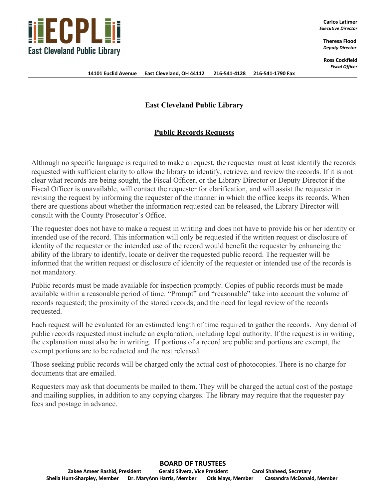

**Carlos Latimer** *Executive Director*

> **Theresa Flood** *Deputy Director*

**Ross Cockfield** *Fiscal Officer*

## **East Cleveland Public Library**

## **Public Records Requests**

Although no specific language is required to make a request, the requester must at least identify the records requested with sufficient clarity to allow the library to identify, retrieve, and review the records. If it is not clear what records are being sought, the Fiscal Officer, or the Library Director or Deputy Director if the Fiscal Officer is unavailable, will contact the requester for clarification, and will assist the requester in revising the request by informing the requester of the manner in which the office keeps its records. When there are questions about whether the information requested can be released, the Library Director will consult with the County Prosecutor's Office.

The requester does not have to make a request in writing and does not have to provide his or her identity or intended use of the record. This information will only be requested if the written request or disclosure of identity of the requester or the intended use of the record would benefit the requester by enhancing the ability of the library to identify, locate or deliver the requested public record. The requester will be informed that the written request or disclosure of identity of the requester or intended use of the records is not mandatory.

Public records must be made available for inspection promptly. Copies of public records must be made available within a reasonable period of time. "Prompt" and "reasonable" take into account the volume of records requested; the proximity of the stored records; and the need for legal review of the records requested.

Each request will be evaluated for an estimated length of time required to gather the records. Any denial of public records requested must include an explanation, including legal authority. If the request is in writing, the explanation must also be in writing. If portions of a record are public and portions are exempt, the exempt portions are to be redacted and the rest released.

Those seeking public records will be charged only the actual cost of photocopies. There is no charge for documents that are emailed.

Requesters may ask that documents be mailed to them. They will be charged the actual cost of the postage and mailing supplies, in addition to any copying charges. The library may require that the requester pay fees and postage in advance.